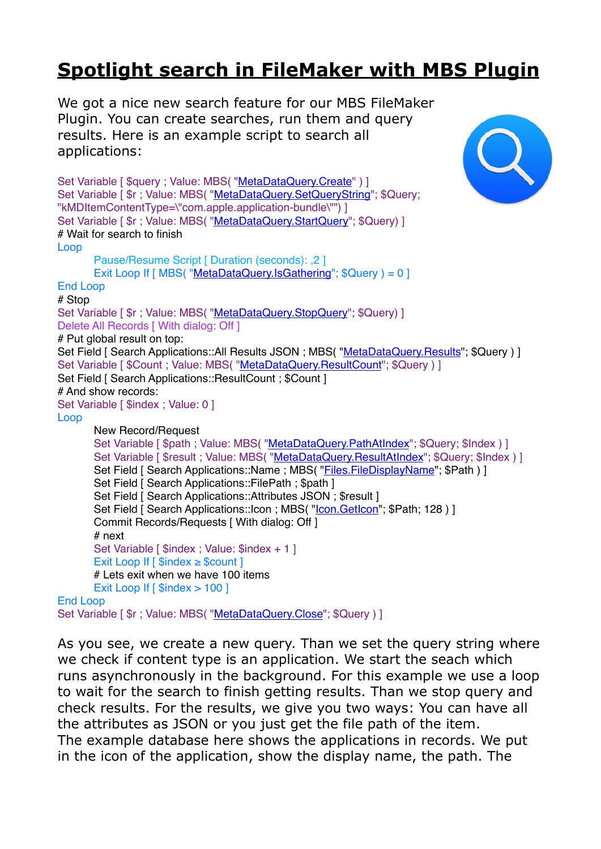## **[Spotlight search in FileMaker with MBS Plugin](https://www.mbs-plugins.com/archive/2017-12-16/Spotlight_search_in_FileMaker_/monkeybreadsoftware_blog_filemaker)**

We got a nice new search feature for our MBS FileMaker Plugin. You can create searches, run them and query results. Here is an example script to search all applications:

Set Variable [ \$query ; Value: MBS( "[MetaDataQuery.Create"](http://www.mbsplugins.eu/MetaDataQueryCreate.shtml) ) ] Set Variable [  $\sin$  ; Value: MBS( ["MetaDataQuery.SetQueryString](http://www.mbsplugins.eu/MetaDataQuerySetQueryString.shtml)"; \$Query; "kMDItemContentType=\"com.apple.application-bundle\"") ] Set Variable [  $r : Value$ : MBS( ["MetaDataQuery.StartQuery](http://www.mbsplugins.eu/MetaDataQueryStartQuery.shtml)"; \$Query) ] # Wait for search to finish Loop Pause/Resume Script [ Duration (seconds): ,2 ] Exit Loop If [ MBS( ["MetaDataQuery.IsGathering](http://www.mbsplugins.eu/MetaDataQueryIsGathering.shtml)"; \$Query ) = 0 ] End Loop # Stop Set Variable [\$r ; Value: MBS( ["MetaDataQuery.StopQuery](http://www.mbsplugins.eu/MetaDataQueryStopQuery.shtml)"; \$Query) ] Delete All Records [ With dialog: Off ] # Put global result on top: Set Field [ Search Applications::All Results JSON ; MBS( ["MetaDataQuery.Results"](http://www.mbsplugins.eu/MetaDataQueryResults.shtml); \$Query ) ] Set Variable [ \$Count : Value: MBS( "[MetaDataQuery.ResultCount](http://www.mbsplugins.eu/MetaDataQueryResultCount.shtml)"; \$Query ) ] Set Field [ Search Applications::ResultCount ; \$Count ] # And show records: Set Variable [ \$index : Value: 0 ] Loop New Record/Request Set Variable [ \$path ; Value: MBS( "[MetaDataQuery.PathAtIndex](http://www.mbsplugins.eu/MetaDataQueryPathAtIndex.shtml)"; \$Query; \$Index ) ] Set Variable [ \$result ; Value: MBS( "MetaDataQuery. ResultAtIndex"; \$Query; \$Index ) ] Set Field [ Search Applications::Name ; MBS( ["Files.FileDisplayName](http://www.mbsplugins.eu/FilesFileDisplayName.shtml)"; \$Path ) ] Set Field [ Search Applications::FilePath ; \$path ] Set Field [ Search Applications::Attributes JSON ; \$result ] Set Field [ Search Applications::Icon ; MBS( ["Icon.GetIcon](http://www.mbsplugins.eu/IconGetIcon.shtml)"; \$Path; 128 ) ] Commit Records/Requests [ With dialog: Off ] # next Set Variable [ \$index ; Value: \$index + 1 ] Exit Loop If [ \$index ≥ \$count ] # Lets exit when we have 100 items Exit Loop If  $\lceil$  \$index > 100  $\rceil$ End Loop

Set Variable [\$r ; Value: MBS( ["MetaDataQuery.Close](http://www.mbsplugins.eu/MetaDataQueryClose.shtml)"; \$Query ) ]

As you see, we create a new query. Than we set the query string where we check if content type is an application. We start the seach which runs asynchronously in the background. For this example we use a loop to wait for the search to finish getting results. Than we stop query and check results. For the results, we give you two ways: You can have all the attributes as JSON or you just get the file path of the item. The example database here shows the applications in records. We put in the icon of the application, show the display name, the path. The